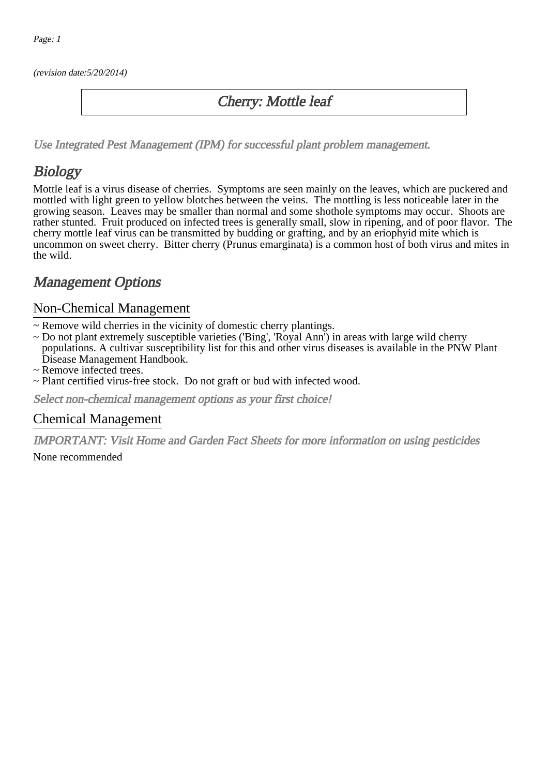(revision date:5/20/2014)

### Cherry: Mottle leaf

[Use Integrated Pest Management \(IPM\) for successful plant problem management.](http://pep.wsu.edu/Home_Garden/H_G_Pesticide_info/urban_Integrated_Pest_Managmen/)

## Biology

Mottle leaf is a virus disease of cherries. Symptoms are seen mainly on the leaves, which are puckered and mottled with light green to yellow blotches between the veins. The mottling is less noticeable later in the growing season. Leaves may be smaller than normal and some shothole symptoms may occur. Shoots are rather stunted. Fruit produced on infected trees is generally small, slow in ripening, and of poor flavor. The cherry mottle leaf virus can be transmitted by budding or grafting, and by an eriophyid mite which is uncommon on sweet cherry. Bitter cherry (Prunus emarginata) is a common host of both virus and mites in the wild.

## Management Options

#### Non-Chemical Management

- ~ Remove wild cherries in the vicinity of domestic cherry plantings.
- ~ Do not plant extremely susceptible varieties ('Bing', 'Royal Ann') in areas with large wild cherry populations. A cultivar susceptibility list for this and other virus diseases is available in the PNW Plant Disease Management Handbook.
- ~ Remove infected trees.
- ~ Plant certified virus-free stock. Do not graft or bud with infected wood.

Select non-chemical management options as your first choice!

#### Chemical Management

IMPORTANT: [Visit Home and Garden Fact Sheets for more information on using pesticides](http://pep.wsu.edu/Home_Garden/H_G_Pesticide_info/) None recommended